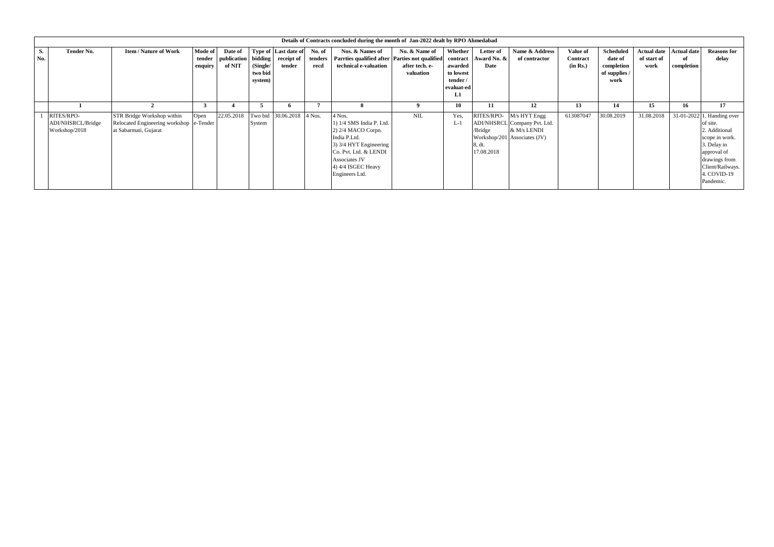|           | Details of Contracts concluded during the month of Jan-2022 dealt by RPO Ahmedabad |                                                                                                |                              |                                          |                                |                                              |                           |                                                                                                                                                                                      |                                              |                                                                |                                  |                                                                                                        |                                  |                                                                    |                                           |                                        |                                                                                                                                                                          |
|-----------|------------------------------------------------------------------------------------|------------------------------------------------------------------------------------------------|------------------------------|------------------------------------------|--------------------------------|----------------------------------------------|---------------------------|--------------------------------------------------------------------------------------------------------------------------------------------------------------------------------------|----------------------------------------------|----------------------------------------------------------------|----------------------------------|--------------------------------------------------------------------------------------------------------|----------------------------------|--------------------------------------------------------------------|-------------------------------------------|----------------------------------------|--------------------------------------------------------------------------------------------------------------------------------------------------------------------------|
| S.<br>No. | Tender No.                                                                         | <b>Item / Nature of Work</b>                                                                   | Mode of<br>tender<br>enquiry | Date of<br>publication bidding<br>of NIT | (Single/<br>two bid<br>system) | Type of Last date of<br>receipt of<br>tender | No. of<br>tenders<br>recd | Nos. & Names of<br>Parrties qualified after Parties not qualified contract<br>technical e-valuation                                                                                  | No. & Name of<br>after tech. e-<br>valuation | Whether<br>awarded<br>to lowest<br>tender /<br>evaluat-ed<br>ы | Letter of<br>Award No. &<br>Date | Name & Address<br>of contractor                                                                        | Value of<br>Contract<br>(in Rs.) | <b>Scheduled</b><br>date of<br>completion<br>of supplies /<br>work | <b>Actual date</b><br>of start of<br>work | <b>Actual date</b><br>of<br>completion | <b>Reasons for</b><br>delay                                                                                                                                              |
|           |                                                                                    |                                                                                                | $\mathcal{F}$                |                                          | $\mathcal{D}$                  |                                              |                           | -8                                                                                                                                                                                   |                                              | 10                                                             | 11                               | 12                                                                                                     | 13                               | 14                                                                 | 15                                        | 16                                     | 17                                                                                                                                                                       |
|           | RITES/RPO-<br>ADI/NHSRCL/Bridge<br>Workshop/2018                                   | STR Bridge Workshop within<br>Relocated Engineering workshop e-Tender<br>at Sabarmati, Gujarat | Open                         | 22.05.2018                               | System                         | Two bid 30.06.2018 4 Nos.                    |                           | 4 Nos.<br>1) 1/4 SMS India P. Ltd.<br>2) 2/4 MACO Corpn.<br>India P.Ltd.<br>3) 3/4 HYT Engineering<br>Co. Pvt. Ltd. & LENDI<br>Associates JV<br>4) 4/4 ISGEC Heavy<br>Engineers Ltd. | NIL                                          | Yes.<br>$L-1$                                                  | /Bridge<br>8, dt<br>17.08.2018   | RITES/RPO- M/s HYT Engg<br>ADI/NHSRCL Company Pvt. Ltd.<br>& M/s LENDI<br>Workshop/201 Associates (JV) | 613087047                        | 30.08.2019                                                         | 31.08.2018                                |                                        | 31-01-2022 1. Handing over<br>of site.<br>2. Additional<br>scope in work.<br>3. Delay in<br>approval of<br>drawings from<br>Client/Railways.<br>4. COVID-19<br>Pandemic. |